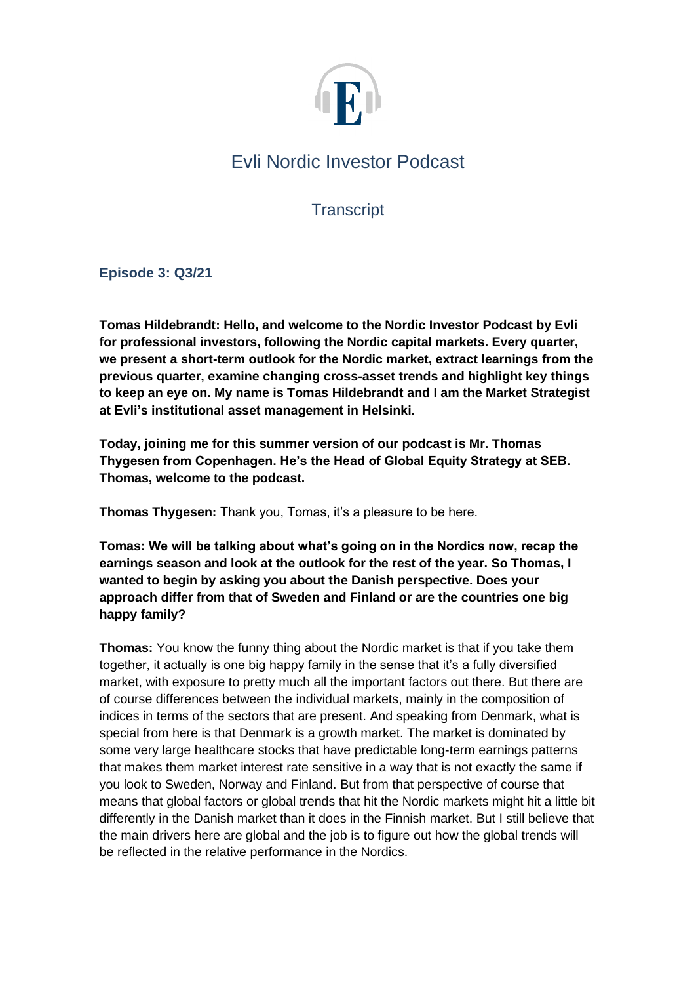

# Evli Nordic Investor Podcast

**Transcript** 

**Episode 3: Q3/21**

**Tomas Hildebrandt: Hello, and welcome to the Nordic Investor Podcast by Evli for professional investors, following the Nordic capital markets. Every quarter, we present a short-term outlook for the Nordic market, extract learnings from the previous quarter, examine changing cross-asset trends and highlight key things to keep an eye on. My name is Tomas Hildebrandt and I am the Market Strategist at Evli's institutional asset management in Helsinki.**

**Today, joining me for this summer version of our podcast is Mr. Thomas Thygesen from Copenhagen. He's the Head of Global Equity Strategy at SEB. Thomas, welcome to the podcast.**

**Thomas Thygesen:** Thank you, Tomas, it's a pleasure to be here.

**Tomas: We will be talking about what's going on in the Nordics now, recap the earnings season and look at the outlook for the rest of the year. So Thomas, I wanted to begin by asking you about the Danish perspective. Does your approach differ from that of Sweden and Finland or are the countries one big happy family?**

**Thomas:** You know the funny thing about the Nordic market is that if you take them together, it actually is one big happy family in the sense that it's a fully diversified market, with exposure to pretty much all the important factors out there. But there are of course differences between the individual markets, mainly in the composition of indices in terms of the sectors that are present. And speaking from Denmark, what is special from here is that Denmark is a growth market. The market is dominated by some very large healthcare stocks that have predictable long-term earnings patterns that makes them market interest rate sensitive in a way that is not exactly the same if you look to Sweden, Norway and Finland. But from that perspective of course that means that global factors or global trends that hit the Nordic markets might hit a little bit differently in the Danish market than it does in the Finnish market. But I still believe that the main drivers here are global and the job is to figure out how the global trends will be reflected in the relative performance in the Nordics.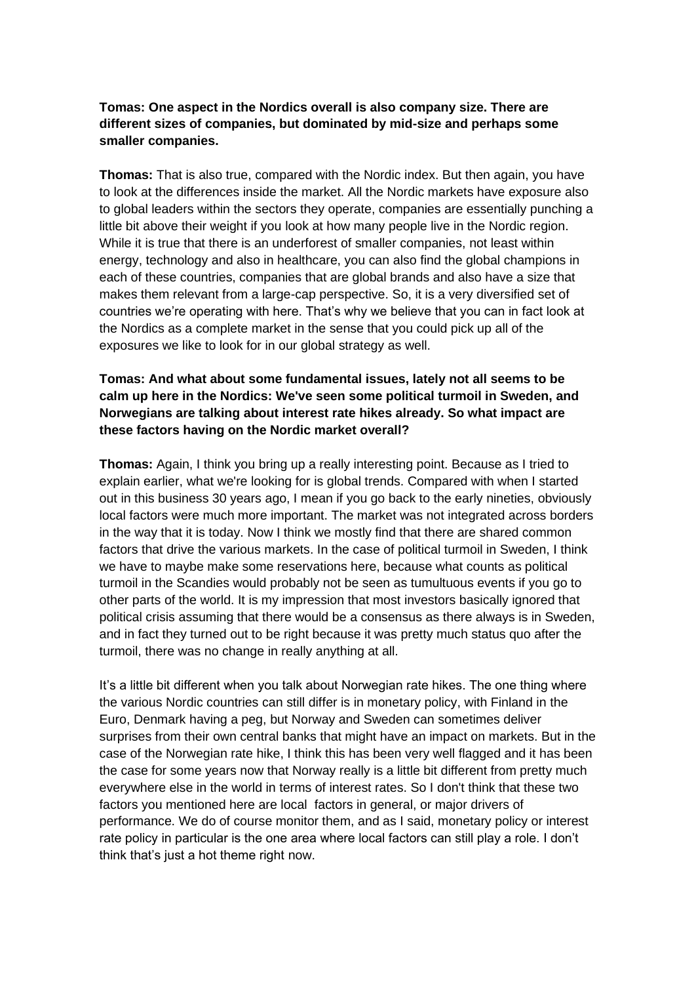### **Tomas: One aspect in the Nordics overall is also company size. There are different sizes of companies, but dominated by mid-size and perhaps some smaller companies.**

**Thomas:** That is also true, compared with the Nordic index. But then again, you have to look at the differences inside the market. All the Nordic markets have exposure also to global leaders within the sectors they operate, companies are essentially punching a little bit above their weight if you look at how many people live in the Nordic region. While it is true that there is an underforest of smaller companies, not least within energy, technology and also in healthcare, you can also find the global champions in each of these countries, companies that are global brands and also have a size that makes them relevant from a large-cap perspective. So, it is a very diversified set of countries we're operating with here. That's why we believe that you can in fact look at the Nordics as a complete market in the sense that you could pick up all of the exposures we like to look for in our global strategy as well.

### **Tomas: And what about some fundamental issues, lately not all seems to be calm up here in the Nordics: We've seen some political turmoil in Sweden, and Norwegians are talking about interest rate hikes already. So what impact are these factors having on the Nordic market overall?**

**Thomas:** Again, I think you bring up a really interesting point. Because as I tried to explain earlier, what we're looking for is global trends. Compared with when I started out in this business 30 years ago, I mean if you go back to the early nineties, obviously local factors were much more important. The market was not integrated across borders in the way that it is today. Now I think we mostly find that there are shared common factors that drive the various markets. In the case of political turmoil in Sweden, I think we have to maybe make some reservations here, because what counts as political turmoil in the Scandies would probably not be seen as tumultuous events if you go to other parts of the world. It is my impression that most investors basically ignored that political crisis assuming that there would be a consensus as there always is in Sweden, and in fact they turned out to be right because it was pretty much status quo after the turmoil, there was no change in really anything at all.

It's a little bit different when you talk about Norwegian rate hikes. The one thing where the various Nordic countries can still differ is in monetary policy, with Finland in the Euro, Denmark having a peg, but Norway and Sweden can sometimes deliver surprises from their own central banks that might have an impact on markets. But in the case of the Norwegian rate hike, I think this has been very well flagged and it has been the case for some years now that Norway really is a little bit different from pretty much everywhere else in the world in terms of interest rates. So I don't think that these two factors you mentioned here are local factors in general, or major drivers of performance. We do of course monitor them, and as I said, monetary policy or interest rate policy in particular is the one area where local factors can still play a role. I don't think that's just a hot theme right now.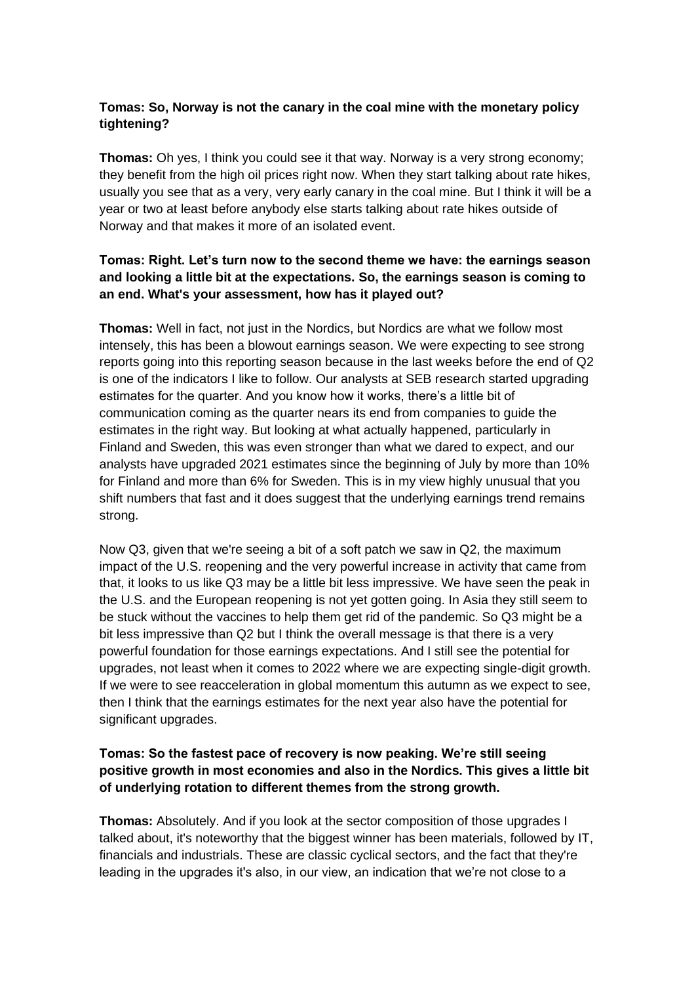## **Tomas: So, Norway is not the canary in the coal mine with the monetary policy tightening?**

**Thomas:** Oh yes, I think you could see it that way. Norway is a very strong economy; they benefit from the high oil prices right now. When they start talking about rate hikes, usually you see that as a very, very early canary in the coal mine. But I think it will be a year or two at least before anybody else starts talking about rate hikes outside of Norway and that makes it more of an isolated event.

### **Tomas: Right. Let's turn now to the second theme we have: the earnings season and looking a little bit at the expectations. So, the earnings season is coming to an end. What's your assessment, how has it played out?**

**Thomas:** Well in fact, not just in the Nordics, but Nordics are what we follow most intensely, this has been a blowout earnings season. We were expecting to see strong reports going into this reporting season because in the last weeks before the end of Q2 is one of the indicators I like to follow. Our analysts at SEB research started upgrading estimates for the quarter. And you know how it works, there's a little bit of communication coming as the quarter nears its end from companies to guide the estimates in the right way. But looking at what actually happened, particularly in Finland and Sweden, this was even stronger than what we dared to expect, and our analysts have upgraded 2021 estimates since the beginning of July by more than 10% for Finland and more than 6% for Sweden. This is in my view highly unusual that you shift numbers that fast and it does suggest that the underlying earnings trend remains strong.

Now Q3, given that we're seeing a bit of a soft patch we saw in Q2, the maximum impact of the U.S. reopening and the very powerful increase in activity that came from that, it looks to us like Q3 may be a little bit less impressive. We have seen the peak in the U.S. and the European reopening is not yet gotten going. In Asia they still seem to be stuck without the vaccines to help them get rid of the pandemic. So Q3 might be a bit less impressive than Q2 but I think the overall message is that there is a very powerful foundation for those earnings expectations. And I still see the potential for upgrades, not least when it comes to 2022 where we are expecting single-digit growth. If we were to see reacceleration in global momentum this autumn as we expect to see, then I think that the earnings estimates for the next year also have the potential for significant upgrades.

### **Tomas: So the fastest pace of recovery is now peaking. We're still seeing positive growth in most economies and also in the Nordics. This gives a little bit of underlying rotation to different themes from the strong growth.**

**Thomas:** Absolutely. And if you look at the sector composition of those upgrades I talked about, it's noteworthy that the biggest winner has been materials, followed by IT, financials and industrials. These are classic cyclical sectors, and the fact that they're leading in the upgrades it's also, in our view, an indication that we're not close to a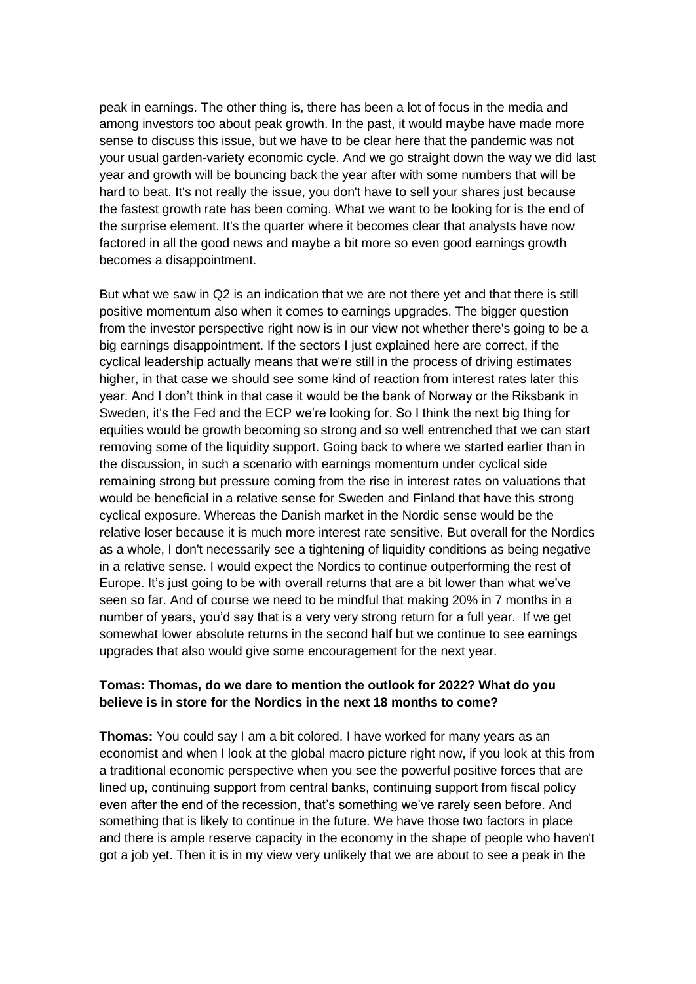peak in earnings. The other thing is, there has been a lot of focus in the media and among investors too about peak growth. In the past, it would maybe have made more sense to discuss this issue, but we have to be clear here that the pandemic was not your usual garden-variety economic cycle. And we go straight down the way we did last year and growth will be bouncing back the year after with some numbers that will be hard to beat. It's not really the issue, you don't have to sell your shares just because the fastest growth rate has been coming. What we want to be looking for is the end of the surprise element. It's the quarter where it becomes clear that analysts have now factored in all the good news and maybe a bit more so even good earnings growth becomes a disappointment.

But what we saw in Q2 is an indication that we are not there yet and that there is still positive momentum also when it comes to earnings upgrades. The bigger question from the investor perspective right now is in our view not whether there's going to be a big earnings disappointment. If the sectors I just explained here are correct, if the cyclical leadership actually means that we're still in the process of driving estimates higher, in that case we should see some kind of reaction from interest rates later this year. And I don't think in that case it would be the bank of Norway or the Riksbank in Sweden, it's the Fed and the ECP we're looking for. So I think the next big thing for equities would be growth becoming so strong and so well entrenched that we can start removing some of the liquidity support. Going back to where we started earlier than in the discussion, in such a scenario with earnings momentum under cyclical side remaining strong but pressure coming from the rise in interest rates on valuations that would be beneficial in a relative sense for Sweden and Finland that have this strong cyclical exposure. Whereas the Danish market in the Nordic sense would be the relative loser because it is much more interest rate sensitive. But overall for the Nordics as a whole, I don't necessarily see a tightening of liquidity conditions as being negative in a relative sense. I would expect the Nordics to continue outperforming the rest of Europe. It's just going to be with overall returns that are a bit lower than what we've seen so far. And of course we need to be mindful that making 20% in 7 months in a number of years, you'd say that is a very very strong return for a full year. If we get somewhat lower absolute returns in the second half but we continue to see earnings upgrades that also would give some encouragement for the next year.

#### **Tomas: Thomas, do we dare to mention the outlook for 2022? What do you believe is in store for the Nordics in the next 18 months to come?**

**Thomas:** You could say I am a bit colored. I have worked for many years as an economist and when I look at the global macro picture right now, if you look at this from a traditional economic perspective when you see the powerful positive forces that are lined up, continuing support from central banks, continuing support from fiscal policy even after the end of the recession, that's something we've rarely seen before. And something that is likely to continue in the future. We have those two factors in place and there is ample reserve capacity in the economy in the shape of people who haven't got a job yet. Then it is in my view very unlikely that we are about to see a peak in the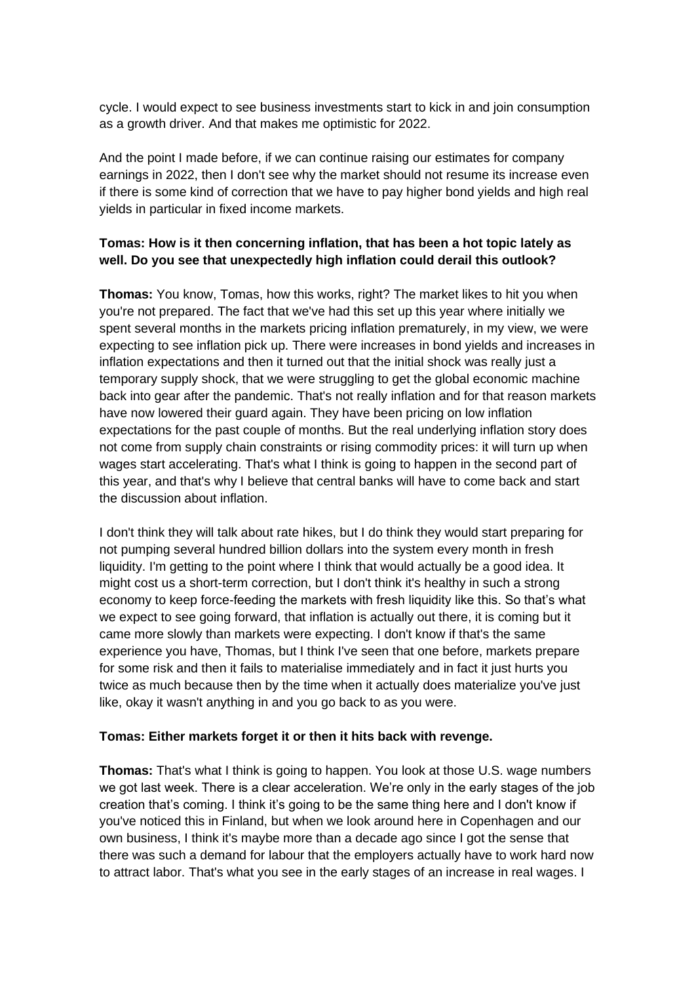cycle. I would expect to see business investments start to kick in and join consumption as a growth driver. And that makes me optimistic for 2022.

And the point I made before, if we can continue raising our estimates for company earnings in 2022, then I don't see why the market should not resume its increase even if there is some kind of correction that we have to pay higher bond yields and high real yields in particular in fixed income markets.

### **Tomas: How is it then concerning inflation, that has been a hot topic lately as well. Do you see that unexpectedly high inflation could derail this outlook?**

**Thomas:** You know, Tomas, how this works, right? The market likes to hit you when you're not prepared. The fact that we've had this set up this year where initially we spent several months in the markets pricing inflation prematurely, in my view, we were expecting to see inflation pick up. There were increases in bond yields and increases in inflation expectations and then it turned out that the initial shock was really just a temporary supply shock, that we were struggling to get the global economic machine back into gear after the pandemic. That's not really inflation and for that reason markets have now lowered their guard again. They have been pricing on low inflation expectations for the past couple of months. But the real underlying inflation story does not come from supply chain constraints or rising commodity prices: it will turn up when wages start accelerating. That's what I think is going to happen in the second part of this year, and that's why I believe that central banks will have to come back and start the discussion about inflation.

I don't think they will talk about rate hikes, but I do think they would start preparing for not pumping several hundred billion dollars into the system every month in fresh liquidity. I'm getting to the point where I think that would actually be a good idea. It might cost us a short-term correction, but I don't think it's healthy in such a strong economy to keep force-feeding the markets with fresh liquidity like this. So that's what we expect to see going forward, that inflation is actually out there, it is coming but it came more slowly than markets were expecting. I don't know if that's the same experience you have, Thomas, but I think I've seen that one before, markets prepare for some risk and then it fails to materialise immediately and in fact it just hurts you twice as much because then by the time when it actually does materialize you've just like, okay it wasn't anything in and you go back to as you were.

#### **Tomas: Either markets forget it or then it hits back with revenge.**

**Thomas:** That's what I think is going to happen. You look at those U.S. wage numbers we got last week. There is a clear acceleration. We're only in the early stages of the job creation that's coming. I think it's going to be the same thing here and I don't know if you've noticed this in Finland, but when we look around here in Copenhagen and our own business, I think it's maybe more than a decade ago since I got the sense that there was such a demand for labour that the employers actually have to work hard now to attract labor. That's what you see in the early stages of an increase in real wages. I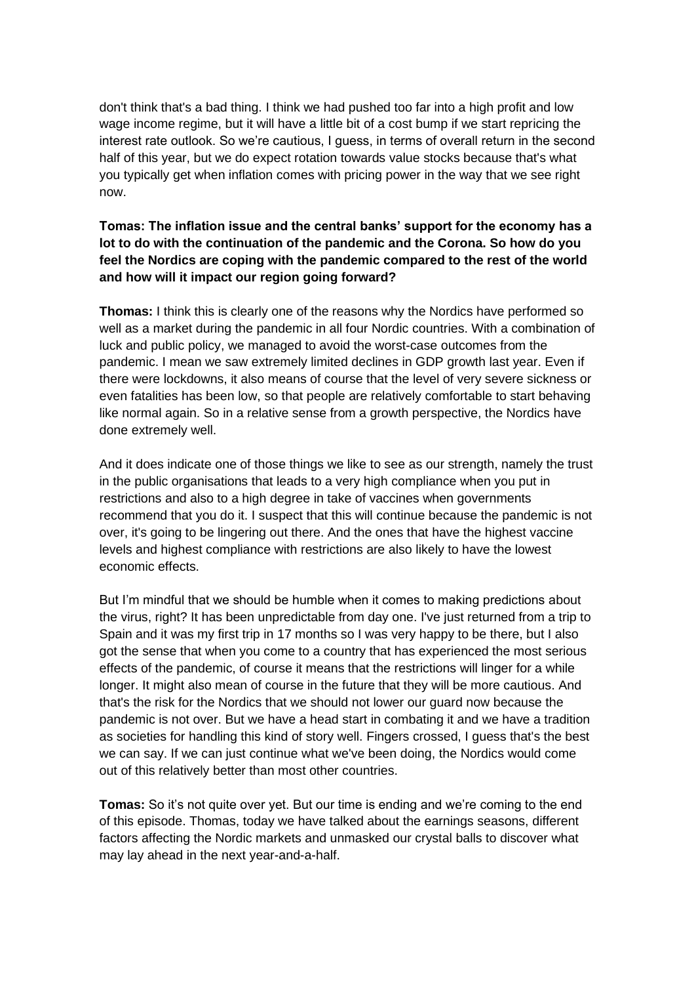don't think that's a bad thing. I think we had pushed too far into a high profit and low wage income regime, but it will have a little bit of a cost bump if we start repricing the interest rate outlook. So we're cautious, I guess, in terms of overall return in the second half of this year, but we do expect rotation towards value stocks because that's what you typically get when inflation comes with pricing power in the way that we see right now.

### **Tomas: The inflation issue and the central banks' support for the economy has a lot to do with the continuation of the pandemic and the Corona. So how do you feel the Nordics are coping with the pandemic compared to the rest of the world and how will it impact our region going forward?**

**Thomas:** I think this is clearly one of the reasons why the Nordics have performed so well as a market during the pandemic in all four Nordic countries. With a combination of luck and public policy, we managed to avoid the worst-case outcomes from the pandemic. I mean we saw extremely limited declines in GDP growth last year. Even if there were lockdowns, it also means of course that the level of very severe sickness or even fatalities has been low, so that people are relatively comfortable to start behaving like normal again. So in a relative sense from a growth perspective, the Nordics have done extremely well.

And it does indicate one of those things we like to see as our strength, namely the trust in the public organisations that leads to a very high compliance when you put in restrictions and also to a high degree in take of vaccines when governments recommend that you do it. I suspect that this will continue because the pandemic is not over, it's going to be lingering out there. And the ones that have the highest vaccine levels and highest compliance with restrictions are also likely to have the lowest economic effects.

But I'm mindful that we should be humble when it comes to making predictions about the virus, right? It has been unpredictable from day one. I've just returned from a trip to Spain and it was my first trip in 17 months so I was very happy to be there, but I also got the sense that when you come to a country that has experienced the most serious effects of the pandemic, of course it means that the restrictions will linger for a while longer. It might also mean of course in the future that they will be more cautious. And that's the risk for the Nordics that we should not lower our guard now because the pandemic is not over. But we have a head start in combating it and we have a tradition as societies for handling this kind of story well. Fingers crossed, I guess that's the best we can say. If we can just continue what we've been doing, the Nordics would come out of this relatively better than most other countries.

**Tomas:** So it's not quite over yet. But our time is ending and we're coming to the end of this episode. Thomas, today we have talked about the earnings seasons, different factors affecting the Nordic markets and unmasked our crystal balls to discover what may lay ahead in the next year-and-a-half.